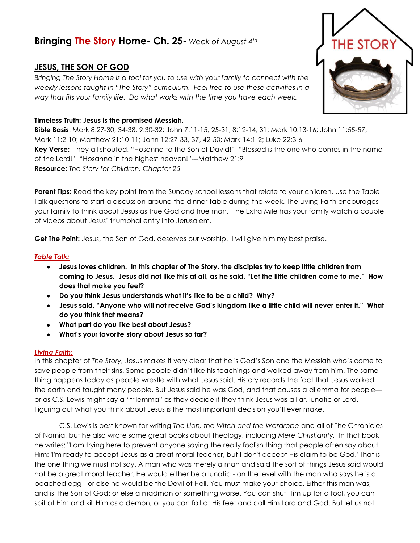# **Bringing The Story Home- Ch. 25-** *Week of August 4th*

## **JESUS, THE SON OF GOD**

*Bringing The Story Home is a tool for you to use with your family to connect with the weekly lessons taught in "The Story" curriculum. Feel free to use these activities in a way that fits your family life. Do what works with the time you have each week.* 

## **Timeless Truth: Jesus is the promised Messiah.**

**Bible Basis**: Mark 8:27-30, 34-38, 9:30-32; John 7:11-15, 25-31, 8:12-14, 31; Mark 10:13-16; John 11:55-57; Mark 11:2-10; Matthew 21:10-11; John 12:27-33, 37, 42-50; Mark 14:1-2; Luke 22:3-6 **Key Verse:** They all shouted, "Hosanna to the Son of David!" "Blessed is the one who comes in the name of the Lord!" "Hosanna in the highest heaven!"---Matthew 21:9 **Resource:** *The Story for Children, Chapter 25*

**Parent Tips:** Read the key point from the Sunday school lessons that relate to your children. Use the Table Talk questions to start a discussion around the dinner table during the week. The Living Faith encourages your family to think about Jesus as true God and true man. The Extra Mile has your family watch a couple of videos about Jesus' triumphal entry into Jerusalem.

Get The Point: Jesus, the Son of God, deserves our worship. I will give him my best praise.

### *Table Talk:*

- **Jesus loves children. In this chapter of The Story, the disciples try to keep little children from coming to Jesus. Jesus did not like this at all, as he said, "Let the little children come to me." How does that make you feel?**
- **Do you think Jesus understands what it's like to be a child? Why?**
- **Jesus said, "Anyone who will not receive God's kingdom like a little child will never enter it." What do you think that means?**
- **What part do you like best about Jesus?**
- **What's your favorite story about Jesus so far?**

#### *Living Faith:*

In this chapter of *The Story,* Jesus makes it very clear that he is God's Son and the Messiah who's come to save people from their sins. Some people didn't like his teachings and walked away from him. The same thing happens today as people wrestle with what Jesus said. History records the fact that Jesus walked the earth and taught many people. But Jesus said he was God, and that causes a dilemma for people or as C.S. Lewis might say a "trilemma" as they decide if they think Jesus was a liar, lunatic or Lord. Figuring out what you think about Jesus is the most important decision you'll ever make.

C.S. Lewis is best known for writing *The Lion, the Witch and the Wardrobe* and all of The Chronicles of Narnia, but he also wrote some great books about theology, including *Mere Christianity.* In that book he writes: "I am trying here to prevent anyone saying the really foolish thing that people often say about Him: 'I'm ready to accept Jesus as a great moral teacher, but I don't accept His claim to be God.' That is the one thing we must not say. A man who was merely a man and said the sort of things Jesus said would not be a great moral teacher. He would either be a lunatic - on the level with the man who says he is a poached egg - or else he would be the Devil of Hell. You must make your choice. Either this man was, and is, the Son of God: or else a madman or something worse. You can shut Him up for a fool, you can spit at Him and kill Him as a demon; or you can fall at His feet and call Him Lord and God. But let us not